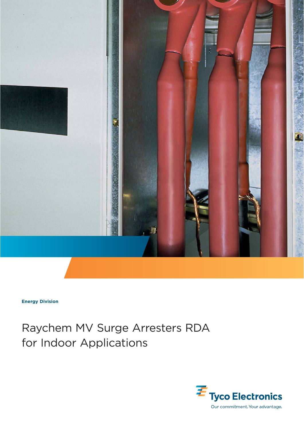

**Energy Division**

## Raychem MV Surge Arresters RDA for Indoor Applications